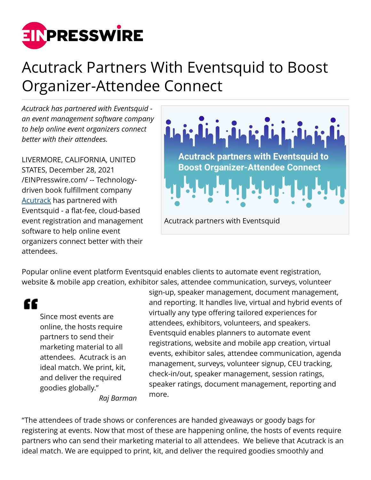

## Acutrack Partners With Eventsquid to Boost Organizer-Attendee Connect

*Acutrack has partnered with Eventsquid an event management software company to help online event organizers connect better with their attendees.*

LIVERMORE, CALIFORNIA, UNITED STATES, December 28, 2021 [/EINPresswire.com/](http://www.einpresswire.com) -- Technologydriven book fulfillment company [Acutrack](https://www.acutrack.com/) has partnered with Eventsquid - a flat-fee, cloud-based event registration and management software to help online event organizers connect better with their attendees.



Popular online event platform Eventsquid enables clients to automate event registration, website & mobile app creation, exhibitor sales, attendee communication, surveys, volunteer

"

Since most events are online, the hosts require partners to send their marketing material to all attendees. Acutrack is an ideal match. We print, kit, and deliver the required goodies globally."

sign-up, speaker management, document management, and reporting. It handles live, virtual and hybrid events of virtually any type offering tailored experiences for attendees, exhibitors, volunteers, and speakers. Eventsquid enables planners to automate event registrations, website and mobile app creation, virtual events, exhibitor sales, attendee communication, agenda management, surveys, volunteer signup, CEU tracking, check-in/out, speaker management, session ratings, speaker ratings, document management, reporting and more.

*Raj Barman*

"The attendees of trade shows or conferences are handed giveaways or goody bags for registering at events. Now that most of these are happening online, the hosts of events require partners who can send their marketing material to all attendees. We believe that Acutrack is an ideal match. We are equipped to print, kit, and deliver the required goodies smoothly and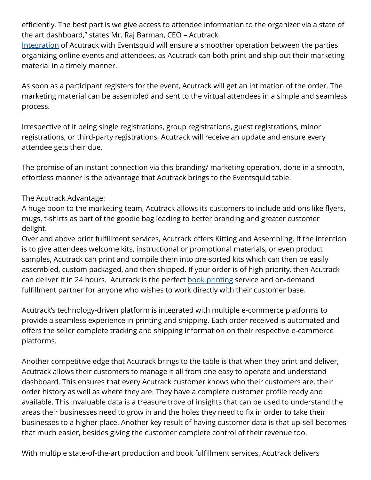efficiently. The best part is we give access to attendee information to the organizer via a state of the art dashboard," states Mr. Raj Barman, CEO – Acutrack.

[Integration](https://www.acutrack.com/integration/) of Acutrack with Eventsquid will ensure a smoother operation between the parties organizing online events and attendees, as Acutrack can both print and ship out their marketing material in a timely manner.

As soon as a participant registers for the event, Acutrack will get an intimation of the order. The marketing material can be assembled and sent to the virtual attendees in a simple and seamless process.

Irrespective of it being single registrations, group registrations, guest registrations, minor registrations, or third-party registrations, Acutrack will receive an update and ensure every attendee gets their due.

The promise of an instant connection via this branding/ marketing operation, done in a smooth, effortless manner is the advantage that Acutrack brings to the Eventsquid table.

## The Acutrack Advantage:

A huge boon to the marketing team, Acutrack allows its customers to include add-ons like flyers, mugs, t-shirts as part of the goodie bag leading to better branding and greater customer delight.

Over and above print fulfillment services, Acutrack offers Kitting and Assembling. If the intention is to give attendees welcome kits, instructional or promotional materials, or even product samples, Acutrack can print and compile them into pre-sorted kits which can then be easily assembled, custom packaged, and then shipped. If your order is of high priority, then Acutrack can deliver it in 24 hours. Acutrack is the perfect [book printing](https://www.acutrack.com/book-printing/) service and on-demand fulfillment partner for anyone who wishes to work directly with their customer base.

Acutrack's technology-driven platform is integrated with multiple e-commerce platforms to provide a seamless experience in printing and shipping. Each order received is automated and offers the seller complete tracking and shipping information on their respective e-commerce platforms.

Another competitive edge that Acutrack brings to the table is that when they print and deliver, Acutrack allows their customers to manage it all from one easy to operate and understand dashboard. This ensures that every Acutrack customer knows who their customers are, their order history as well as where they are. They have a complete customer profile ready and available. This invaluable data is a treasure trove of insights that can be used to understand the areas their businesses need to grow in and the holes they need to fix in order to take their businesses to a higher place. Another key result of having customer data is that up-sell becomes that much easier, besides giving the customer complete control of their revenue too.

With multiple state-of-the-art production and book fulfillment services, Acutrack delivers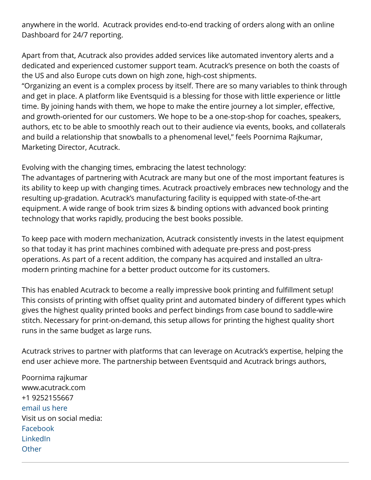anywhere in the world. Acutrack provides end-to-end tracking of orders along with an online Dashboard for 24/7 reporting.

Apart from that, Acutrack also provides added services like automated inventory alerts and a dedicated and experienced customer support team. Acutrack's presence on both the coasts of the US and also Europe cuts down on high zone, high-cost shipments.

"Organizing an event is a complex process by itself. There are so many variables to think through and get in place. A platform like Eventsquid is a blessing for those with little experience or little time. By joining hands with them, we hope to make the entire journey a lot simpler, effective, and growth-oriented for our customers. We hope to be a one-stop-shop for coaches, speakers, authors, etc to be able to smoothly reach out to their audience via events, books, and collaterals and build a relationship that snowballs to a phenomenal level," feels Poornima Rajkumar, Marketing Director, Acutrack.

Evolving with the changing times, embracing the latest technology:

The advantages of partnering with Acutrack are many but one of the most important features is its ability to keep up with changing times. Acutrack proactively embraces new technology and the resulting up-gradation. Acutrack's manufacturing facility is equipped with state-of-the-art equipment. A wide range of book trim sizes & binding options with advanced book printing technology that works rapidly, producing the best books possible.

To keep pace with modern mechanization, Acutrack consistently invests in the latest equipment so that today it has print machines combined with adequate pre-press and post-press operations. As part of a recent addition, the company has acquired and installed an ultramodern printing machine for a better product outcome for its customers.

This has enabled Acutrack to become a really impressive book printing and fulfillment setup! This consists of printing with offset quality print and automated bindery of different types which gives the highest quality printed books and perfect bindings from case bound to saddle-wire stitch. Necessary for print-on-demand, this setup allows for printing the highest quality short runs in the same budget as large runs.

Acutrack strives to partner with platforms that can leverage on Acutrack's expertise, helping the end user achieve more. The partnership between Eventsquid and Acutrack brings authors,

Poornima rajkumar www.acutrack.com +1 9252155667 [email us here](http://www.einpresswire.com/contact_author/3226204) Visit us on social media: [Facebook](https://www.facebook.com/AcutrackInc/) [LinkedIn](https://www.linkedin.com/company/acutrack-inc./) **[Other](https://www.instagram.com/acutrack/)**